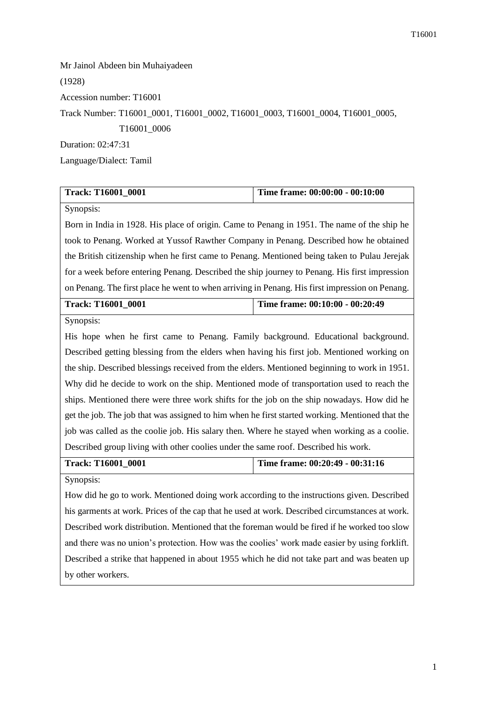Mr Jainol Abdeen bin Muhaiyadeen (1928) Accession number: T16001 Track Number: T16001\_0001, T16001\_0002, T16001\_0003, T16001\_0004, T16001\_0005, T16001\_0006 Duration: 02:47:31 Language/Dialect: Tamil

| <b>Track: T16001 0001</b> | Time frame: 00:00:00 - 00:10:00 |
|---------------------------|---------------------------------|
| Synopsis:                 |                                 |

Born in India in 1928. His place of origin. Came to Penang in 1951. The name of the ship he took to Penang. Worked at Yussof Rawther Company in Penang. Described how he obtained the British citizenship when he first came to Penang. Mentioned being taken to Pulau Jerejak for a week before entering Penang. Described the ship journey to Penang. His first impression on Penang. The first place he went to when arriving in Penang. His first impression on Penang.

| <b>Track: T16001 0001</b> | Time frame: $00:10:00 - 00:20:49$ |
|---------------------------|-----------------------------------|
| $\sim$ $\sim$ $\sim$      |                                   |

Synopsis:

His hope when he first came to Penang. Family background. Educational background. Described getting blessing from the elders when having his first job. Mentioned working on the ship. Described blessings received from the elders. Mentioned beginning to work in 1951. Why did he decide to work on the ship. Mentioned mode of transportation used to reach the ships. Mentioned there were three work shifts for the job on the ship nowadays. How did he get the job. The job that was assigned to him when he first started working. Mentioned that the job was called as the coolie job. His salary then. Where he stayed when working as a coolie. Described group living with other coolies under the same roof. Described his work.

| Track: T16001 0001 | Time frame: $00:20:49 - 00:31:16$ |
|--------------------|-----------------------------------|
|                    |                                   |

Synopsis:

How did he go to work. Mentioned doing work according to the instructions given. Described his garments at work. Prices of the cap that he used at work. Described circumstances at work. Described work distribution. Mentioned that the foreman would be fired if he worked too slow and there was no union's protection. How was the coolies' work made easier by using forklift. Described a strike that happened in about 1955 which he did not take part and was beaten up by other workers.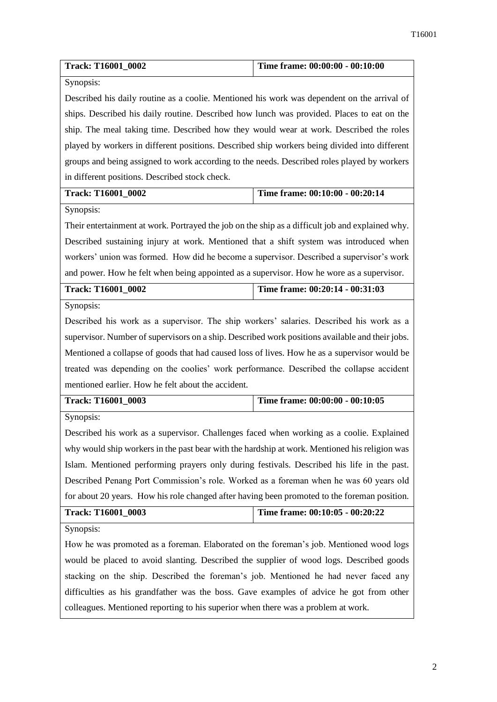| Track: T16001_0002                                                                               | Time frame: 00:00:00 - 00:10:00 |  |
|--------------------------------------------------------------------------------------------------|---------------------------------|--|
| Synopsis:                                                                                        |                                 |  |
| Described his daily routine as a coolie. Mentioned his work was dependent on the arrival of      |                                 |  |
| ships. Described his daily routine. Described how lunch was provided. Places to eat on the       |                                 |  |
| ship. The meal taking time. Described how they would wear at work. Described the roles           |                                 |  |
| played by workers in different positions. Described ship workers being divided into different    |                                 |  |
| groups and being assigned to work according to the needs. Described roles played by workers      |                                 |  |
| in different positions. Described stock check.                                                   |                                 |  |
| <b>Track: T16001_0002</b>                                                                        | Time frame: 00:10:00 - 00:20:14 |  |
| Synopsis:                                                                                        |                                 |  |
| Their entertainment at work. Portrayed the job on the ship as a difficult job and explained why. |                                 |  |
| Described sustaining injury at work. Mentioned that a shift system was introduced when           |                                 |  |
| workers' union was formed. How did he become a supervisor. Described a supervisor's work         |                                 |  |
| and power. How he felt when being appointed as a supervisor. How he wore as a supervisor.        |                                 |  |
| <b>Track: T16001_0002</b>                                                                        | Time frame: 00:20:14 - 00:31:03 |  |
| Synopsis:                                                                                        |                                 |  |
| Described his work as a supervisor. The ship workers' salaries. Described his work as a          |                                 |  |
| supervisor. Number of supervisors on a ship. Described work positions available and their jobs.  |                                 |  |
| Mentioned a collapse of goods that had caused loss of lives. How he as a supervisor would be     |                                 |  |
| treated was depending on the coolies' work performance. Described the collapse accident          |                                 |  |
| mentioned earlier. How he felt about the accident.                                               |                                 |  |
| Track: T16001_0003                                                                               | Time frame: 00:00:00 - 00:10:05 |  |
| Synopsis:                                                                                        |                                 |  |
| Described his work as a supervisor. Challenges faced when working as a coolie. Explained         |                                 |  |
| why would ship workers in the past bear with the hardship at work. Mentioned his religion was    |                                 |  |
| Islam. Mentioned performing prayers only during festivals. Described his life in the past.       |                                 |  |
| Described Penang Port Commission's role. Worked as a foreman when he was 60 years old            |                                 |  |
| for about 20 years. How his role changed after having been promoted to the foreman position.     |                                 |  |
| Track: T16001_0003                                                                               | Time frame: 00:10:05 - 00:20:22 |  |
| Synopsis:                                                                                        |                                 |  |
| How he was promoted as a foreman. Elaborated on the foreman's job. Mentioned wood logs           |                                 |  |
| would be placed to avoid slanting. Described the supplier of wood logs. Described goods          |                                 |  |
| stacking on the ship. Described the foreman's job. Mentioned he had never faced any              |                                 |  |
| difficulties as his grandfather was the boss. Gave examples of advice he got from other          |                                 |  |
| colleagues. Mentioned reporting to his superior when there was a problem at work.                |                                 |  |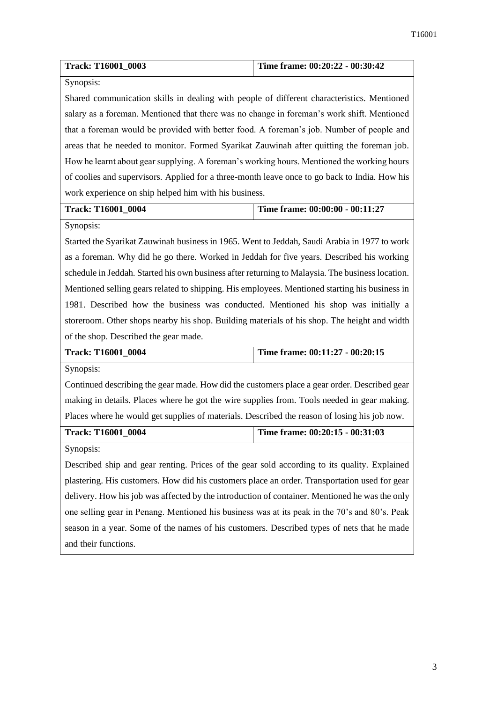| Track: T16001_0003                                                                               | Time frame: 00:20:22 - 00:30:42   |  |
|--------------------------------------------------------------------------------------------------|-----------------------------------|--|
| Synopsis:                                                                                        |                                   |  |
| Shared communication skills in dealing with people of different characteristics. Mentioned       |                                   |  |
| salary as a foreman. Mentioned that there was no change in foreman's work shift. Mentioned       |                                   |  |
| that a foreman would be provided with better food. A foreman's job. Number of people and         |                                   |  |
| areas that he needed to monitor. Formed Syarikat Zauwinah after quitting the foreman job.        |                                   |  |
| How he learnt about gear supplying. A foreman's working hours. Mentioned the working hours       |                                   |  |
| of coolies and supervisors. Applied for a three-month leave once to go back to India. How his    |                                   |  |
| work experience on ship helped him with his business.                                            |                                   |  |
| Track: T16001_0004                                                                               | Time frame: 00:00:00 - 00:11:27   |  |
| Synopsis:                                                                                        |                                   |  |
| Started the Syarikat Zauwinah business in 1965. Went to Jeddah, Saudi Arabia in 1977 to work     |                                   |  |
| as a foreman. Why did he go there. Worked in Jeddah for five years. Described his working        |                                   |  |
| schedule in Jeddah. Started his own business after returning to Malaysia. The business location. |                                   |  |
| Mentioned selling gears related to shipping. His employees. Mentioned starting his business in   |                                   |  |
| 1981. Described how the business was conducted. Mentioned his shop was initially a               |                                   |  |
| storeroom. Other shops nearby his shop. Building materials of his shop. The height and width     |                                   |  |
| of the shop. Described the gear made.                                                            |                                   |  |
| Track: T16001_0004                                                                               | Time frame: 00:11:27 - 00:20:15   |  |
| Synopsis:                                                                                        |                                   |  |
| Continued describing the gear made. How did the customers place a gear order. Described gear     |                                   |  |
| making in details. Places where he got the wire supplies from. Tools needed in gear making.      |                                   |  |
| Places where he would get supplies of materials. Described the reason of losing his job now.     |                                   |  |
| Track: T16001_0004                                                                               | Time frame: $00:20:15 - 00:31:03$ |  |
| Synopsis:                                                                                        |                                   |  |
| Described ship and gear renting. Prices of the gear sold according to its quality. Explained     |                                   |  |
| plastering. His customers. How did his customers place an order. Transportation used for gear    |                                   |  |
| delivery. How his job was affected by the introduction of container. Mentioned he was the only   |                                   |  |
| one selling gear in Penang. Mentioned his business was at its peak in the 70's and 80's. Peak    |                                   |  |
| season in a year. Some of the names of his customers. Described types of nets that he made       |                                   |  |
| and their functions.                                                                             |                                   |  |